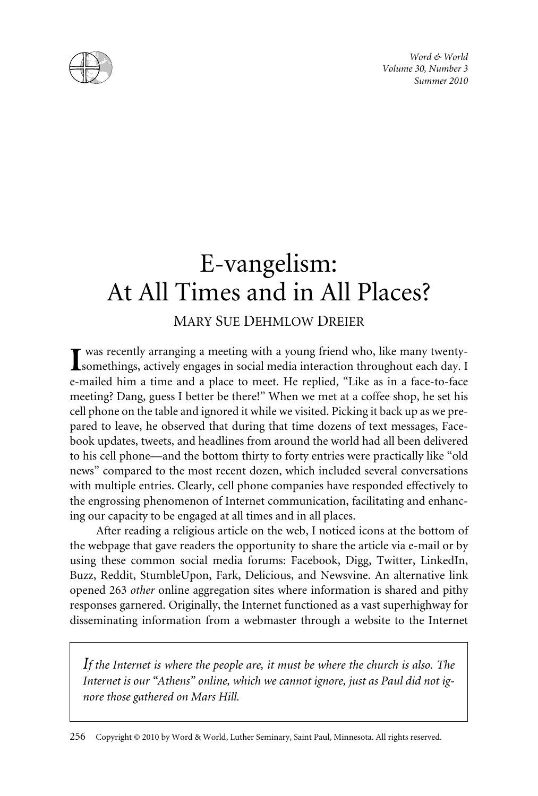*Word & World Volume 30, Number 3 Summer 2010*



# E-vangelism: At All Times and in All Places?

# MARY SUE DEHMLOW DREIER

was recently arranging a meeting with a young friend who, like many twenty-**Somethings, actively engages in social media interaction throughout each day.** I e-mailed him a time and a place to meet. He replied, "Like as in a face-to-face meeting? Dang, guess I better be there!" When we met at a coffee shop, he set his cell phone on the table and ignored it while we visited. Picking it back up as we prepared to leave, he observed that during that time dozens of text messages, Facebook updates, tweets, and headlines from around the world had all been delivered to his cell phone—and the bottom thirty to forty entries were practically like "old news" compared to the most recent dozen, which included several conversations with multiple entries. Clearly, cell phone companies have responded effectively to the engrossing phenomenon of Internet communication, facilitating and enhancing our capacity to be engaged at all times and in all places.

After reading a religious article on the web, I noticed icons at the bottom of the webpage that gave readers the opportunity to share the article via e-mail or by using these common social media forums: Facebook, Digg, Twitter, LinkedIn, Buzz, Reddit, StumbleUpon, Fark, Delicious, and Newsvine. An alternative link opened 263 *other* online aggregation sites where information is shared and pithy responses garnered. Originally, the Internet functioned as a vast superhighway for disseminating information from a webmaster through a website to the Internet

*If the Internet is where the people are, it must be where the church is also. The Internet is our "Athens" online, which we cannot ignore, just as Paul did not ignore those gathered on Mars Hill.*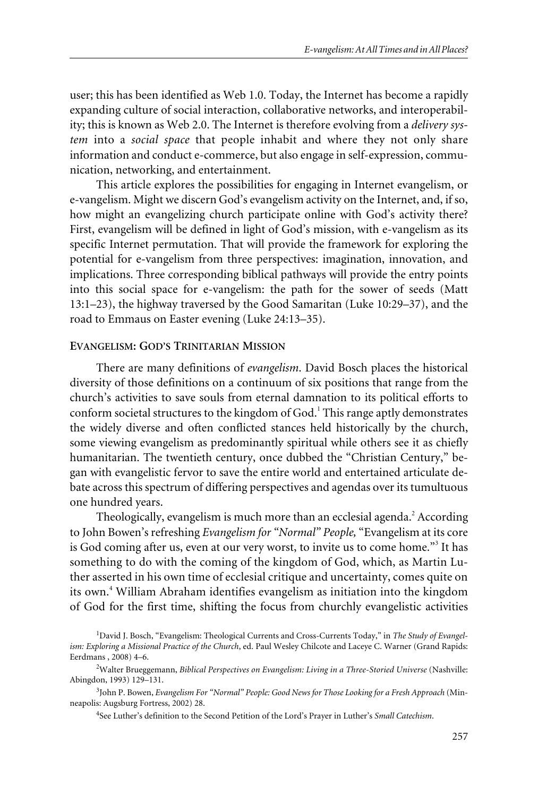user; this has been identified as Web 1.0. Today, the Internet has become a rapidly expanding culture of social interaction, collaborative networks, and interoperability; this is known as Web 2.0. The Internet is therefore evolving from a *delivery system* into a *social space* that people inhabit and where they not only share information and conduct e-commerce, but also engage in self-expression, communication, networking, and entertainment.

This article explores the possibilities for engaging in Internet evangelism, or e-vangelism. Might we discern God's evangelism activity on the Internet, and, if so, how might an evangelizing church participate online with God's activity there? First, evangelism will be defined in light of God's mission, with e-vangelism as its specific Internet permutation. That will provide the framework for exploring the potential for e-vangelism from three perspectives: imagination, innovation, and implications. Three corresponding biblical pathways will provide the entry points into this social space for e-vangelism: the path for the sower of seeds (Matt 13:1–23), the highway traversed by the Good Samaritan (Luke 10:29–37), and the road to Emmaus on Easter evening (Luke 24:13–35).

#### **EVANGELISM: GOD'S TRINITARIAN MISSION**

There are many definitions of *evangelism*. David Bosch places the historical diversity of those definitions on a continuum of six positions that range from the church's activities to save souls from eternal damnation to its political efforts to conform societal structures to the kingdom of  $God<sup>1</sup>$ . This range aptly demonstrates the widely diverse and often conflicted stances held historically by the church, some viewing evangelism as predominantly spiritual while others see it as chiefly humanitarian. The twentieth century, once dubbed the "Christian Century," began with evangelistic fervor to save the entire world and entertained articulate debate across this spectrum of differing perspectives and agendas over its tumultuous one hundred years.

Theologically, evangelism is much more than an ecclesial agenda.<sup>2</sup> According to John Bowen's refreshing *Evangelism for "Normal" People,* "Evangelism at its core is God coming after us, even at our very worst, to invite us to come home."<sup>3</sup> It has something to do with the coming of the kingdom of God, which, as Martin Luther asserted in his own time of ecclesial critique and uncertainty, comes quite on its own.<sup>4</sup> William Abraham identifies evangelism as initiation into the kingdom of God for the first time, shifting the focus from churchly evangelistic activities

4 See Luther's definition to the Second Petition of the Lord's Prayer in Luther's *Small Catechism*.

<sup>&</sup>lt;sup>1</sup>David J. Bosch, "Evangelism: Theological Currents and Cross-Currents Today," in The Study of Evangel*ism: Exploring a Missional Practice of the Church*, ed. Paul Wesley Chilcote and Laceye C. Warner (Grand Rapids: Eerdmans , 2008) 4–6.

<sup>2</sup> Walter Brueggemann, *Biblical Perspectives on Evangelism: Living in a Three-Storied Universe* (Nashville: Abingdon, 1993) 129–131.

<sup>3</sup> John P. Bowen, *Evangelism For "Normal" People: Good News for Those Looking for a Fresh Approach* (Minneapolis: Augsburg Fortress, 2002) 28.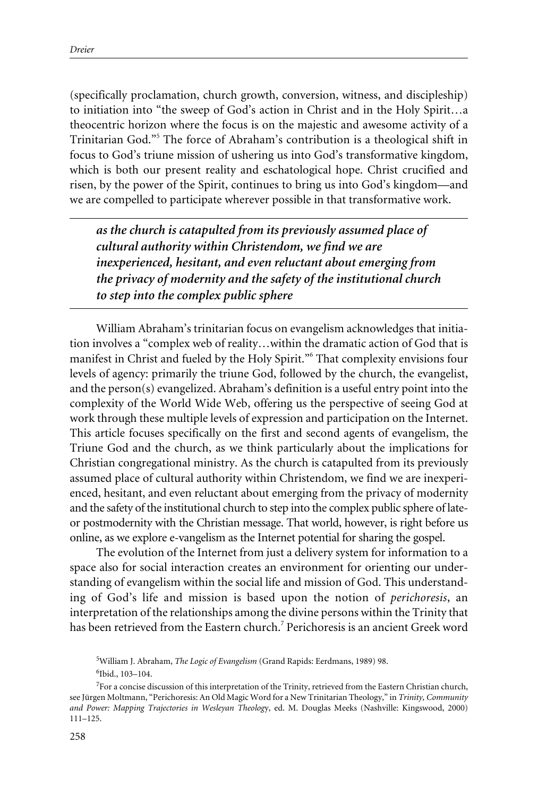(specifically proclamation, church growth, conversion, witness, and discipleship) to initiation into "the sweep of God's action in Christ and in the Holy Spirit…a theocentric horizon where the focus is on the majestic and awesome activity of a Trinitarian God."5 The force of Abraham's contribution is a theological shift in focus to God's triune mission of ushering us into God's transformative kingdom, which is both our present reality and eschatological hope. Christ crucified and risen, by the power of the Spirit, continues to bring us into God's kingdom—and we are compelled to participate wherever possible in that transformative work.

*as the church is catapulted from its previously assumed place of cultural authority within Christendom, we find we are inexperienced, hesitant, and even reluctant about emerging from the privacy of modernity and the safety of the institutional church to step into the complex public sphere*

William Abraham's trinitarian focus on evangelism acknowledges that initiation involves a "complex web of reality…within the dramatic action of God that is manifest in Christ and fueled by the Holy Spirit."<sup>6</sup> That complexity envisions four levels of agency: primarily the triune God, followed by the church, the evangelist, and the person(s) evangelized. Abraham's definition is a useful entry point into the complexity of the World Wide Web, offering us the perspective of seeing God at work through these multiple levels of expression and participation on the Internet. This article focuses specifically on the first and second agents of evangelism, the Triune God and the church, as we think particularly about the implications for Christian congregational ministry. As the church is catapulted from its previously assumed place of cultural authority within Christendom, we find we are inexperienced, hesitant, and even reluctant about emerging from the privacy of modernity and the safety of the institutional church to step into the complex public sphere of lateor postmodernity with the Christian message. That world, however, is right before us online, as we explore e-vangelism as the Internet potential for sharing the gospel.

The evolution of the Internet from just a delivery system for information to a space also for social interaction creates an environment for orienting our understanding of evangelism within the social life and mission of God. This understanding of God's life and mission is based upon the notion of *perichoresis*, an interpretation of the relationships among the divine persons within the Trinity that has been retrieved from the Eastern church.<sup>7</sup> Perichoresis is an ancient Greek word

<sup>5</sup> William J. Abraham, *The Logic of Evangelism* (Grand Rapids: Eerdmans, 1989) 98. 6 Ibid., 103–104.

 $7$  For a concise discussion of this interpretation of the Trinity, retrieved from the Eastern Christian church, see Jürgen Moltmann, "Perichoresis: An Old Magic Word for a New Trinitarian Theology," in *Trinity, Community and Power: Mapping Trajectories in Wesleyan Theolog*y, ed. M. Douglas Meeks (Nashville: Kingswood, 2000) 111–125.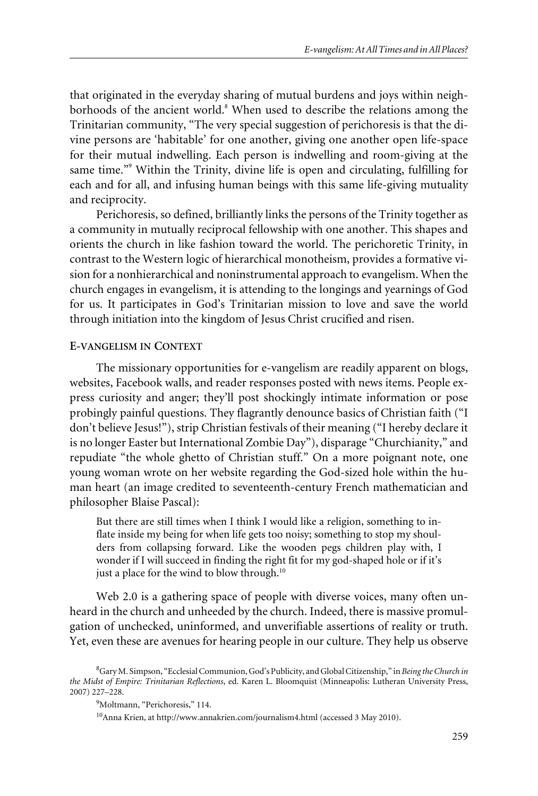that originated in the everyday sharing of mutual burdens and joys within neighborhoods of the ancient world. $8$  When used to describe the relations among the Trinitarian community, "The very special suggestion of perichoresis is that the divine persons are 'habitable' for one another, giving one another open life-space for their mutual indwelling. Each person is indwelling and room-giving at the same time."<sup>9</sup> Within the Trinity, divine life is open and circulating, fulfilling for each and for all, and infusing human beings with this same life-giving mutuality and reciprocity.

Perichoresis, so defined, brilliantly links the persons of the Trinity together as a community in mutually reciprocal fellowship with one another. This shapes and orients the church in like fashion toward the world. The perichoretic Trinity, in contrast to the Western logic of hierarchical monotheism, provides a formative vision for a nonhierarchical and noninstrumental approach to evangelism. When the church engages in evangelism, it is attending to the longings and yearnings of God for us. It participates in God's Trinitarian mission to love and save the world through initiation into the kingdom of Jesus Christ crucified and risen.

#### **E-VANGELISM IN CONTEXT**

The missionary opportunities for e-vangelism are readily apparent on blogs, websites, Facebook walls, and reader responses posted with news items. People express curiosity and anger; they'll post shockingly intimate information or pose probingly painful questions. They flagrantly denounce basics of Christian faith ("I don't believe Jesus!"), strip Christian festivals of their meaning ("I hereby declare it is no longer Easter but International Zombie Day"), disparage "Churchianity," and repudiate "the whole ghetto of Christian stuff." On a more poignant note, one young woman wrote on her website regarding the God-sized hole within the human heart (an image credited to seventeenth-century French mathematician and philosopher Blaise Pascal):

But there are still times when I think I would like a religion, something to inflate inside my being for when life gets too noisy; something to stop my shoulders from collapsing forward. Like the wooden pegs children play with, I wonder if I will succeed in finding the right fit for my god-shaped hole or if it's just a place for the wind to blow through.<sup>10</sup>

Web 2.0 is a gathering space of people with diverse voices, many often unheard in the church and unheeded by the church. Indeed, there is massive promulgation of unchecked, uninformed, and unverifiable assertions of reality or truth. Yet, even these are avenues for hearing people in our culture. They help us observe

<sup>8</sup> Gary M. Simpson, "Ecclesial Communion, God's Publicity, and Global Citizenship," in *Being the Church in the Midst of Empire: Trinitarian Reflections*, ed. Karen L. Bloomquist (Minneapolis: Lutheran University Press, 2007) 227–228.

<sup>9</sup> Moltmann, "Perichoresis," 114.

<sup>10</sup>Anna Krien, at http://www.annakrien.com/journalism4.html (accessed 3 May 2010).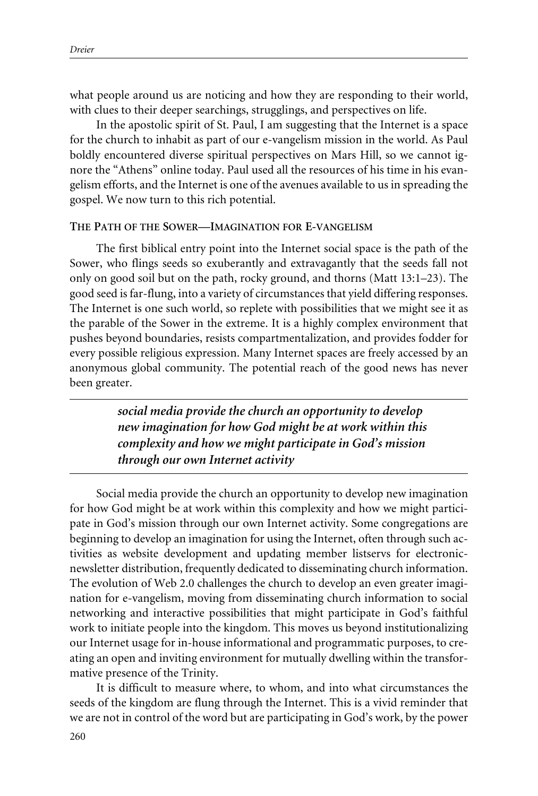what people around us are noticing and how they are responding to their world, with clues to their deeper searchings, strugglings, and perspectives on life.

In the apostolic spirit of St. Paul, I am suggesting that the Internet is a space for the church to inhabit as part of our e-vangelism mission in the world. As Paul boldly encountered diverse spiritual perspectives on Mars Hill, so we cannot ignore the "Athens" online today. Paul used all the resources of his time in his evangelism efforts, and the Internet is one of the avenues available to us in spreading the gospel. We now turn to this rich potential.

#### **THE PATH OF THE SOWER—IMAGINATION FOR E-VANGELISM**

The first biblical entry point into the Internet social space is the path of the Sower, who flings seeds so exuberantly and extravagantly that the seeds fall not only on good soil but on the path, rocky ground, and thorns (Matt 13:1–23). The good seed is far-flung, into a variety of circumstances that yield differing responses. The Internet is one such world, so replete with possibilities that we might see it as the parable of the Sower in the extreme. It is a highly complex environment that pushes beyond boundaries, resists compartmentalization, and provides fodder for every possible religious expression. Many Internet spaces are freely accessed by an anonymous global community. The potential reach of the good news has never been greater.

> *social media provide the church an opportunity to develop new imagination for how God might be at work within this complexity and how we might participate in God's mission through our own Internet activity*

Social media provide the church an opportunity to develop new imagination for how God might be at work within this complexity and how we might participate in God's mission through our own Internet activity. Some congregations are beginning to develop an imagination for using the Internet, often through such activities as website development and updating member listservs for electronicnewsletter distribution, frequently dedicated to disseminating church information. The evolution of Web 2.0 challenges the church to develop an even greater imagination for e-vangelism, moving from disseminating church information to social networking and interactive possibilities that might participate in God's faithful work to initiate people into the kingdom. This moves us beyond institutionalizing our Internet usage for in-house informational and programmatic purposes, to creating an open and inviting environment for mutually dwelling within the transformative presence of the Trinity.

It is difficult to measure where, to whom, and into what circumstances the seeds of the kingdom are flung through the Internet. This is a vivid reminder that we are not in control of the word but are participating in God's work, by the power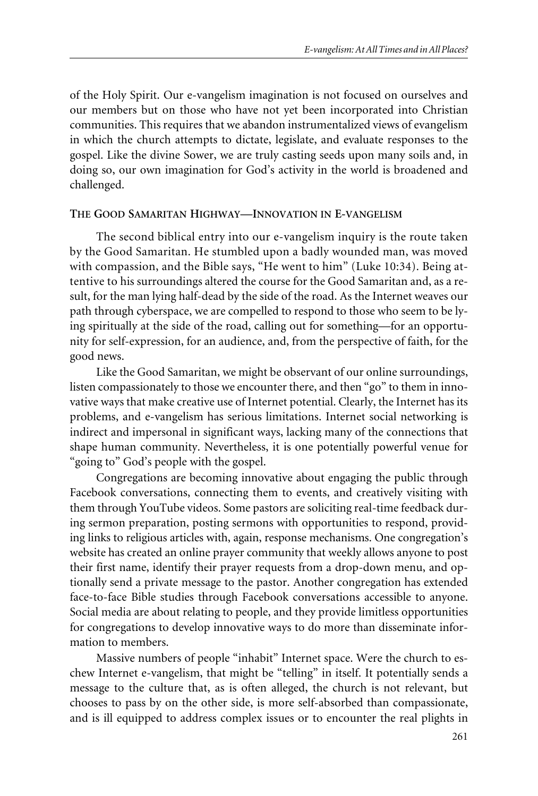of the Holy Spirit. Our e-vangelism imagination is not focused on ourselves and our members but on those who have not yet been incorporated into Christian communities. This requires that we abandon instrumentalized views of evangelism in which the church attempts to dictate, legislate, and evaluate responses to the gospel. Like the divine Sower, we are truly casting seeds upon many soils and, in doing so, our own imagination for God's activity in the world is broadened and challenged.

## **THE GOOD SAMARITAN HIGHWAY—INNOVATION IN E-VANGELISM**

The second biblical entry into our e-vangelism inquiry is the route taken by the Good Samaritan. He stumbled upon a badly wounded man, was moved with compassion, and the Bible says, "He went to him" (Luke 10:34). Being attentive to his surroundings altered the course for the Good Samaritan and, as a result, for the man lying half-dead by the side of the road. As the Internet weaves our path through cyberspace, we are compelled to respond to those who seem to be lying spiritually at the side of the road, calling out for something—for an opportunity for self-expression, for an audience, and, from the perspective of faith, for the good news.

Like the Good Samaritan, we might be observant of our online surroundings, listen compassionately to those we encounter there, and then "go" to them in innovative ways that make creative use of Internet potential. Clearly, the Internet has its problems, and e-vangelism has serious limitations. Internet social networking is indirect and impersonal in significant ways, lacking many of the connections that shape human community. Nevertheless, it is one potentially powerful venue for "going to" God's people with the gospel.

Congregations are becoming innovative about engaging the public through Facebook conversations, connecting them to events, and creatively visiting with them through YouTube videos. Some pastors are soliciting real-time feedback during sermon preparation, posting sermons with opportunities to respond, providing links to religious articles with, again, response mechanisms. One congregation's website has created an online prayer community that weekly allows anyone to post their first name, identify their prayer requests from a drop-down menu, and optionally send a private message to the pastor. Another congregation has extended face-to-face Bible studies through Facebook conversations accessible to anyone. Social media are about relating to people, and they provide limitless opportunities for congregations to develop innovative ways to do more than disseminate information to members.

Massive numbers of people "inhabit" Internet space. Were the church to eschew Internet e-vangelism, that might be "telling" in itself. It potentially sends a message to the culture that, as is often alleged, the church is not relevant, but chooses to pass by on the other side, is more self-absorbed than compassionate, and is ill equipped to address complex issues or to encounter the real plights in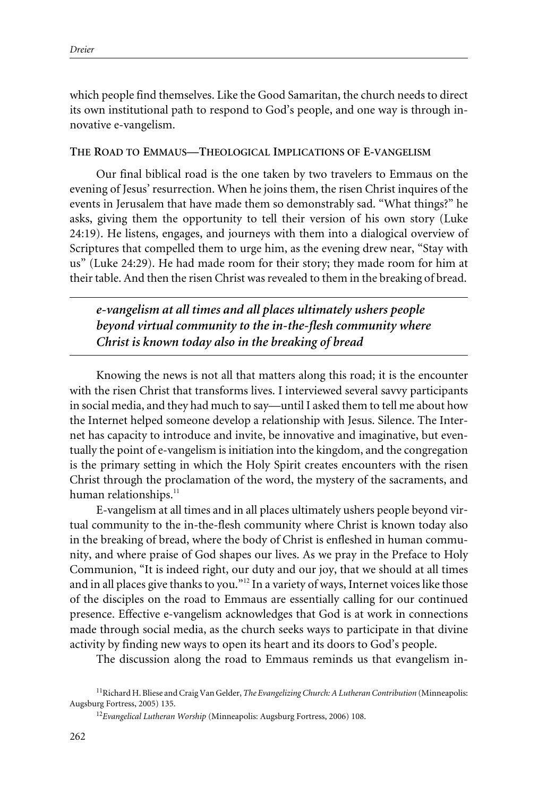which people find themselves. Like the Good Samaritan, the church needs to direct its own institutional path to respond to God's people, and one way is through innovative e-vangelism.

## **THE ROAD TO EMMAUS—THEOLOGICAL IMPLICATIONS OF E-VANGELISM**

Our final biblical road is the one taken by two travelers to Emmaus on the evening of Jesus' resurrection. When he joins them, the risen Christ inquires of the events in Jerusalem that have made them so demonstrably sad. "What things?" he asks, giving them the opportunity to tell their version of his own story (Luke 24:19). He listens, engages, and journeys with them into a dialogical overview of Scriptures that compelled them to urge him, as the evening drew near, "Stay with us" (Luke 24:29). He had made room for their story; they made room for him at their table. And then the risen Christ was revealed to them in the breaking of bread.

*e-vangelism at all times and all places ultimately ushers people beyond virtual community to the in-the-flesh community where Christ is known today also in the breaking of bread*

Knowing the news is not all that matters along this road; it is the encounter with the risen Christ that transforms lives. I interviewed several savvy participants in social media, and they had much to say—until I asked them to tell me about how the Internet helped someone develop a relationship with Jesus. Silence. The Internet has capacity to introduce and invite, be innovative and imaginative, but eventually the point of e-vangelism is initiation into the kingdom, and the congregation is the primary setting in which the Holy Spirit creates encounters with the risen Christ through the proclamation of the word, the mystery of the sacraments, and human relationships.<sup>11</sup>

E-vangelism at all times and in all places ultimately ushers people beyond virtual community to the in-the-flesh community where Christ is known today also in the breaking of bread, where the body of Christ is enfleshed in human community, and where praise of God shapes our lives. As we pray in the Preface to Holy Communion, "It is indeed right, our duty and our joy, that we should at all times and in all places give thanks to you."<sup>12</sup> In a variety of ways, Internet voices like those of the disciples on the road to Emmaus are essentially calling for our continued presence. Effective e-vangelism acknowledges that God is at work in connections made through social media, as the church seeks ways to participate in that divine activity by finding new ways to open its heart and its doors to God's people.

The discussion along the road to Emmaus reminds us that evangelism in-

<sup>11</sup>Richard H. Bliese and Craig Van Gelder, *The Evangelizing Church: A Lutheran Contribution* (Minneapolis: Augsburg Fortress, 2005) 135.

<sup>12</sup>*Evangelical Lutheran Worship* (Minneapolis: Augsburg Fortress, 2006) 108.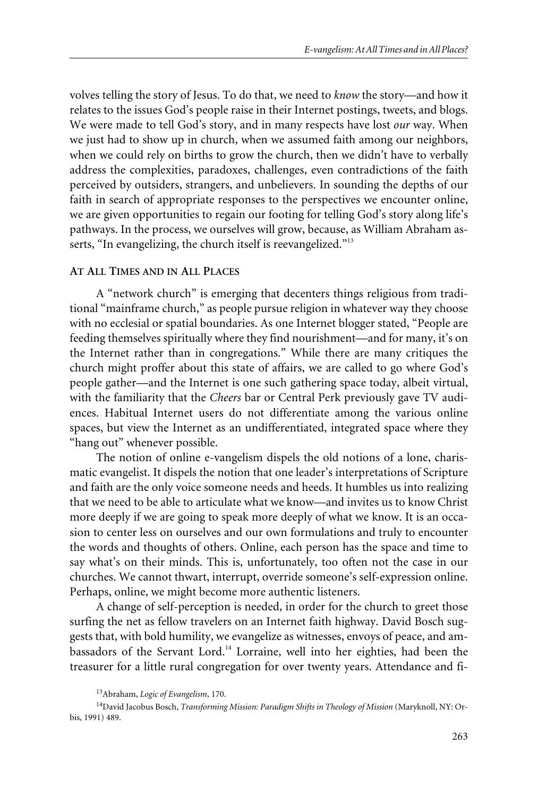volves telling the story of Jesus. To do that, we need to *know* the story—and how it relates to the issues God's people raise in their Internet postings, tweets, and blogs. We were made to tell God's story, and in many respects have lost *our* way. When we just had to show up in church, when we assumed faith among our neighbors, when we could rely on births to grow the church, then we didn't have to verbally address the complexities, paradoxes, challenges, even contradictions of the faith perceived by outsiders, strangers, and unbelievers. In sounding the depths of our faith in search of appropriate responses to the perspectives we encounter online, we are given opportunities to regain our footing for telling God's story along life's pathways. In the process, we ourselves will grow, because, as William Abraham asserts, "In evangelizing, the church itself is reevangelized."<sup>13</sup>

# **AT ALL TIMES AND IN ALL PLACES**

A "network church" is emerging that decenters things religious from traditional "mainframe church," as people pursue religion in whatever way they choose with no ecclesial or spatial boundaries. As one Internet blogger stated, "People are feeding themselves spiritually where they find nourishment—and for many, it's on the Internet rather than in congregations." While there are many critiques the church might proffer about this state of affairs, we are called to go where God's people gather—and the Internet is one such gathering space today, albeit virtual, with the familiarity that the *Cheers* bar or Central Perk previously gave TV audiences. Habitual Internet users do not differentiate among the various online spaces, but view the Internet as an undifferentiated, integrated space where they "hang out" whenever possible.

The notion of online e-vangelism dispels the old notions of a lone, charismatic evangelist. It dispels the notion that one leader's interpretations of Scripture and faith are the only voice someone needs and heeds. It humbles us into realizing that we need to be able to articulate what we know—and invites us to know Christ more deeply if we are going to speak more deeply of what we know. It is an occasion to center less on ourselves and our own formulations and truly to encounter the words and thoughts of others. Online, each person has the space and time to say what's on their minds. This is, unfortunately, too often not the case in our churches. We cannot thwart, interrupt, override someone's self-expression online. Perhaps, online, we might become more authentic listeners.

A change of self-perception is needed, in order for the church to greet those surfing the net as fellow travelers on an Internet faith highway. David Bosch suggests that, with bold humility, we evangelize as witnesses, envoys of peace, and ambassadors of the Servant Lord.<sup>14</sup> Lorraine, well into her eighties, had been the treasurer for a little rural congregation for over twenty years. Attendance and fi-

<sup>13</sup>Abraham, *Logic of Evangelism*, 170.

<sup>14</sup>David Jacobus Bosch, *Transforming Mission: Paradigm Shifts in Theology of Mission* (Maryknoll, NY: Orbis, 1991) 489.